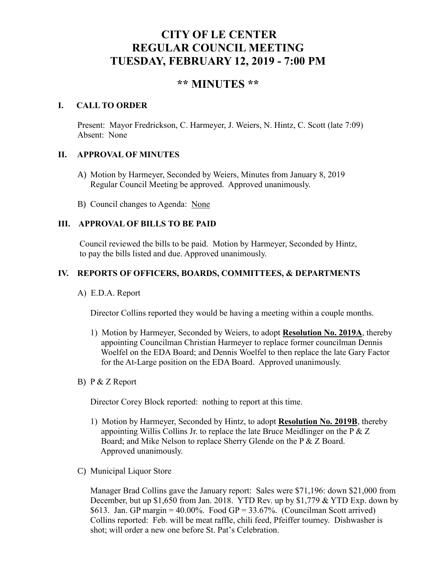# **CITY OF LE CENTER REGULAR COUNCIL MEETING TUESDAY, FEBRUARY 12, 2019 - 7:00 PM**

# **\*\* MINUTES \*\***

# **I. CALL TO ORDER**

Present: Mayor Fredrickson, C. Harmeyer, J. Weiers, N. Hintz, C. Scott (late 7:09) Absent: None

# **II. APPROVAL OF MINUTES**

- A) Motion by Harmeyer, Seconded by Weiers, Minutes from January 8, 2019 Regular Council Meeting be approved. Approved unanimously.
- B) Council changes to Agenda: None

# **III. APPROVAL OF BILLS TO BE PAID**

Council reviewed the bills to be paid. Motion by Harmeyer, Seconded by Hintz, to pay the bills listed and due. Approved unanimously.

# **IV. REPORTS OF OFFICERS, BOARDS, COMMITTEES, & DEPARTMENTS**

A) E.D.A. Report

Director Collins reported they would be having a meeting within a couple months.

- 1) Motion by Harmeyer, Seconded by Weiers, to adopt **Resolution No. 2019A**, thereby appointing Councilman Christian Harmeyer to replace former councilman Dennis Woelfel on the EDA Board; and Dennis Woelfel to then replace the late Gary Factor for the At-Large position on the EDA Board. Approved unanimously.
- B) P & Z Report

Director Corey Block reported: nothing to report at this time.

- 1) Motion by Harmeyer, Seconded by Hintz, to adopt **Resolution No. 2019B**, thereby appointing Willis Collins Jr. to replace the late Bruce Meidlinger on the  $P \& Z$  Board; and Mike Nelson to replace Sherry Glende on the P & Z Board. Approved unanimously.
- C) Municipal Liquor Store

Manager Brad Collins gave the January report: Sales were \$71,196: down \$21,000 from December, but up \$1,650 from Jan. 2018. YTD Rev. up by \$1,779 & YTD Exp. down by \$613. Jan. GP margin =  $40.00\%$ . Food GP =  $33.67\%$ . (Councilman Scott arrived) Collins reported: Feb. will be meat raffle, chili feed, Pfeiffer tourney. Dishwasher is shot; will order a new one before St. Pat's Celebration.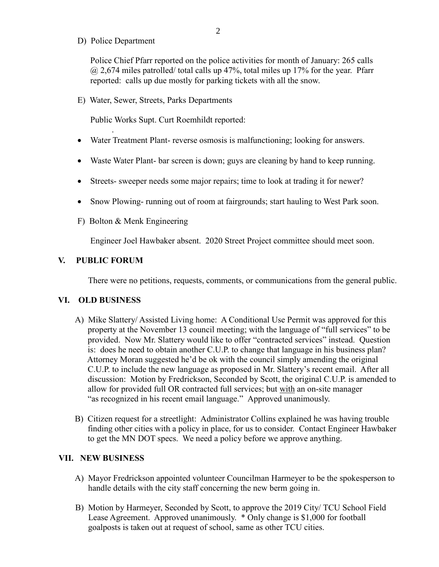D) Police Department

Police Chief Pfarr reported on the police activities for month of January: 265 calls  $@$  2,674 miles patrolled/ total calls up 47%, total miles up 17% for the year. Pfarr reported: calls up due mostly for parking tickets with all the snow.

E) Water, Sewer, Streets, Parks Departments

Public Works Supt. Curt Roemhildt reported:

- Water Treatment Plant- reverse osmosis is malfunctioning; looking for answers.
- Waste Water Plant- bar screen is down; guys are cleaning by hand to keep running.
- Streets- sweeper needs some major repairs; time to look at trading it for newer?
- Snow Plowing- running out of room at fairgrounds; start hauling to West Park soon.
- F) Bolton & Menk Engineering

Engineer Joel Hawbaker absent. 2020 Street Project committee should meet soon.

#### **V. PUBLIC FORUM**

.

There were no petitions, requests, comments, or communications from the general public.

#### **VI. OLD BUSINESS**

- A) Mike Slattery/ Assisted Living home: A Conditional Use Permit was approved for this property at the November 13 council meeting; with the language of "full services" to be provided. Now Mr. Slattery would like to offer "contracted services" instead. Question is: does he need to obtain another C.U.P. to change that language in his business plan? Attorney Moran suggested he'd be ok with the council simply amending the original C.U.P. to include the new language as proposed in Mr. Slattery's recent email. After all discussion: Motion by Fredrickson, Seconded by Scott, the original C.U.P. is amended to allow for provided full OR contracted full services; but with an on-site manager "as recognized in his recent email language." Approved unanimously.
- B) Citizen request for a streetlight: Administrator Collins explained he was having trouble finding other cities with a policy in place, for us to consider. Contact Engineer Hawbaker to get the MN DOT specs. We need a policy before we approve anything.

#### **VII. NEW BUSINESS**

- A) Mayor Fredrickson appointed volunteer Councilman Harmeyer to be the spokesperson to handle details with the city staff concerning the new berm going in.
- B) Motion by Harmeyer, Seconded by Scott, to approve the 2019 City/ TCU School Field Lease Agreement. Approved unanimously. \* Only change is \$1,000 for football goalposts is taken out at request of school, same as other TCU cities.